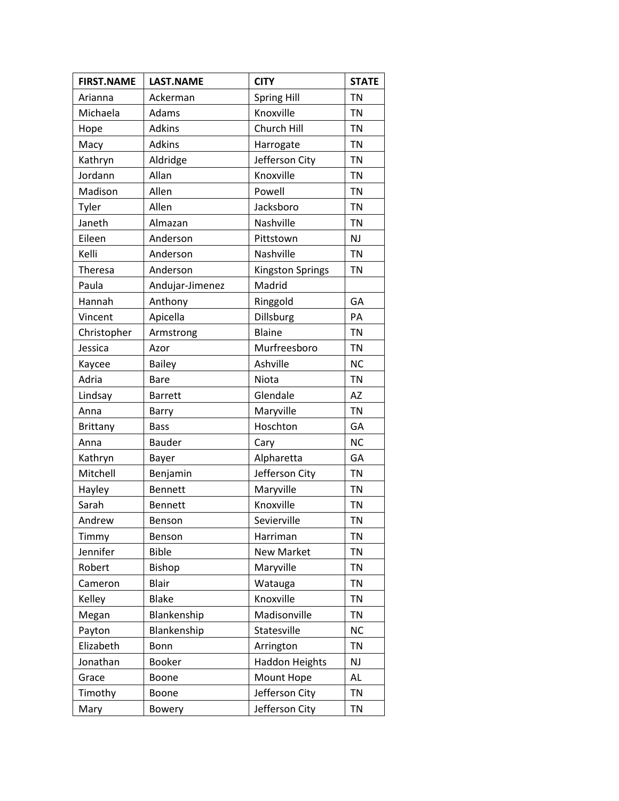| <b>FIRST.NAME</b> | <b>LAST.NAME</b> | <b>CITY</b>             | <b>STATE</b> |
|-------------------|------------------|-------------------------|--------------|
| Arianna           | Ackerman         | Spring Hill             | <b>TN</b>    |
| Michaela          | Adams            | Knoxville               | <b>TN</b>    |
| Hope              | Adkins           | Church Hill             | <b>TN</b>    |
| Macy              | <b>Adkins</b>    | Harrogate               | <b>TN</b>    |
| Kathryn           | Aldridge         | Jefferson City          | <b>TN</b>    |
| Jordann           | Allan            | Knoxville               | <b>TN</b>    |
| Madison           | Allen            | Powell                  | <b>TN</b>    |
| Tyler             | Allen            | Jacksboro               | <b>TN</b>    |
| Janeth            | Almazan          | Nashville               | <b>TN</b>    |
| Eileen            | Anderson         | Pittstown               | <b>NJ</b>    |
| Kelli             | Anderson         | Nashville               | <b>TN</b>    |
| Theresa           | Anderson         | <b>Kingston Springs</b> | <b>TN</b>    |
| Paula             | Andujar-Jimenez  | Madrid                  |              |
| Hannah            | Anthony          | Ringgold                | GA           |
| Vincent           | Apicella         | Dillsburg               | PA           |
| Christopher       | Armstrong        | Blaine                  | <b>TN</b>    |
| Jessica           | Azor             | Murfreesboro            | <b>TN</b>    |
| Kaycee            | <b>Bailey</b>    | Ashville                | <b>NC</b>    |
| Adria             | <b>Bare</b>      | Niota                   | <b>TN</b>    |
| Lindsay           | <b>Barrett</b>   | Glendale                | AZ           |
| Anna              | Barry            | Maryville               | <b>TN</b>    |
| <b>Brittany</b>   | <b>Bass</b>      | Hoschton                | GA           |
| Anna              | <b>Bauder</b>    | Cary                    | <b>NC</b>    |
| Kathryn           | Bayer            | Alpharetta              | GA           |
| Mitchell          | Benjamin         | Jefferson City          | <b>TN</b>    |
| Hayley            | <b>Bennett</b>   | Maryville               | <b>TN</b>    |
| Sarah             | <b>Bennett</b>   | Knoxville               | <b>TN</b>    |
| Andrew            | Benson           | Sevierville             | <b>TN</b>    |
| Timmy             | Benson           | Harriman                | <b>TN</b>    |
| Jennifer          | <b>Bible</b>     | <b>New Market</b>       | <b>TN</b>    |
| Robert            | Bishop           | Maryville               | <b>TN</b>    |
| Cameron           | <b>Blair</b>     | Watauga                 | <b>TN</b>    |
| Kelley            | <b>Blake</b>     | Knoxville               | <b>TN</b>    |
| Megan             | Blankenship      | Madisonville            | <b>TN</b>    |
| Payton            | Blankenship      | Statesville             | <b>NC</b>    |
| Elizabeth         | Bonn             | Arrington               | <b>TN</b>    |
| Jonathan          | <b>Booker</b>    | <b>Haddon Heights</b>   | <b>NJ</b>    |
| Grace             | Boone            | Mount Hope              | <b>AL</b>    |
| Timothy           | Boone            | Jefferson City          | <b>TN</b>    |
| Mary              | Bowery           | Jefferson City          | TN           |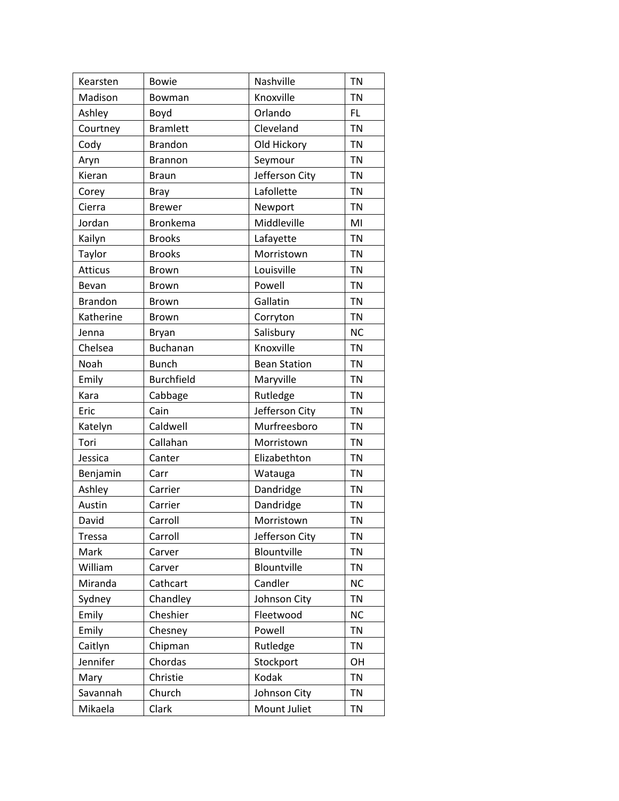| Kearsten       | <b>Bowie</b>      | Nashville           | <b>TN</b> |
|----------------|-------------------|---------------------|-----------|
| Madison        | Bowman            | Knoxville           | <b>TN</b> |
| Ashley         | Boyd              | Orlando             | FL.       |
| Courtney       | <b>Bramlett</b>   | Cleveland           | <b>TN</b> |
| Cody           | <b>Brandon</b>    | Old Hickory         | <b>TN</b> |
| Aryn           | <b>Brannon</b>    | Seymour             | <b>TN</b> |
| Kieran         | <b>Braun</b>      | Jefferson City      | <b>TN</b> |
| Corey          | <b>Bray</b>       | Lafollette          | <b>TN</b> |
| Cierra         | <b>Brewer</b>     | Newport             | <b>TN</b> |
| Jordan         | <b>Bronkema</b>   | Middleville         | MI        |
| Kailyn         | <b>Brooks</b>     | Lafayette           | <b>TN</b> |
| Taylor         | <b>Brooks</b>     | Morristown          | <b>TN</b> |
| <b>Atticus</b> | <b>Brown</b>      | Louisville          | <b>TN</b> |
| Bevan          | <b>Brown</b>      | Powell              | <b>TN</b> |
| <b>Brandon</b> | <b>Brown</b>      | Gallatin            | <b>TN</b> |
| Katherine      | <b>Brown</b>      | Corryton            | <b>TN</b> |
| Jenna          | <b>Bryan</b>      | Salisbury           | <b>NC</b> |
| Chelsea        | <b>Buchanan</b>   | Knoxville           | <b>TN</b> |
| Noah           | <b>Bunch</b>      | <b>Bean Station</b> | <b>TN</b> |
| Emily          | <b>Burchfield</b> | Maryville           | <b>TN</b> |
| Kara           | Cabbage           | Rutledge            | <b>TN</b> |
| Eric           | Cain              | Jefferson City      | <b>TN</b> |
| Katelyn        | Caldwell          | Murfreesboro        | <b>TN</b> |
| Tori           | Callahan          | Morristown          | <b>TN</b> |
| Jessica        | Canter            | Elizabethton        | <b>TN</b> |
| Benjamin       | Carr              | Watauga             | <b>TN</b> |
| Ashley         | Carrier           | Dandridge           | <b>TN</b> |
| Austin         | Carrier           | Dandridge           | <b>TN</b> |
| David          | Carroll           | Morristown          | <b>TN</b> |
| <b>Tressa</b>  | Carroll           | Jefferson City      | <b>TN</b> |
| Mark           | Carver            | Blountville         | <b>TN</b> |
| William        | Carver            | Blountville         | <b>TN</b> |
| Miranda        | Cathcart          | Candler             | <b>NC</b> |
| Sydney         | Chandley          | Johnson City        | <b>TN</b> |
| Emily          | Cheshier          | Fleetwood           | <b>NC</b> |
| Emily          | Chesney           | Powell              | <b>TN</b> |
| Caitlyn        | Chipman           | Rutledge            | <b>TN</b> |
| Jennifer       | Chordas           | Stockport           | OH        |
| Mary           | Christie          | Kodak               | <b>TN</b> |
| Savannah       | Church            | Johnson City        | <b>TN</b> |
| Mikaela        | Clark             | Mount Juliet        | TN        |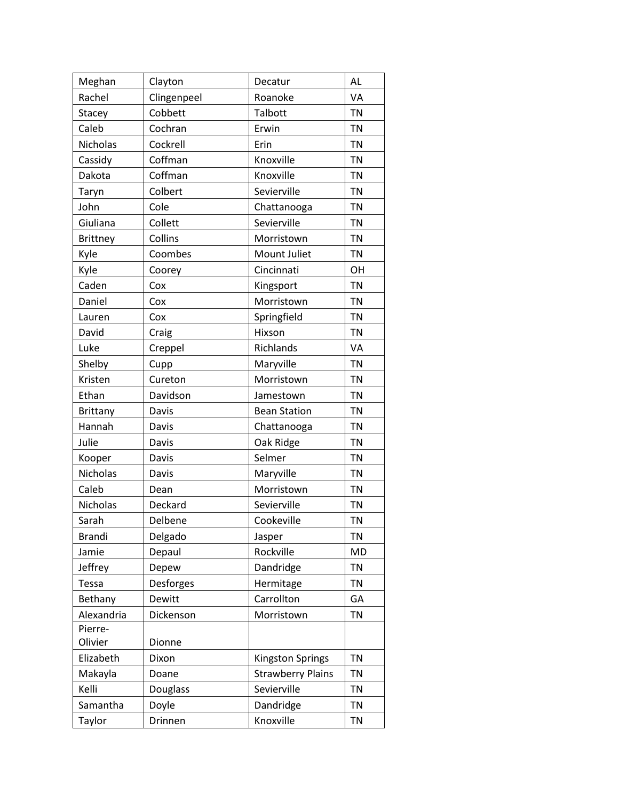| Meghan          | Clayton     | Decatur                  | <b>AL</b> |
|-----------------|-------------|--------------------------|-----------|
| Rachel          | Clingenpeel | Roanoke                  | VA        |
| Stacey          | Cobbett     | Talbott                  | <b>TN</b> |
| Caleb           | Cochran     | Erwin                    | <b>TN</b> |
| Nicholas        | Cockrell    | Erin                     | <b>TN</b> |
| Cassidy         | Coffman     | Knoxville                | <b>TN</b> |
| Dakota          | Coffman     | Knoxville                | <b>TN</b> |
| Taryn           | Colbert     | Sevierville              | <b>TN</b> |
| John            | Cole        | Chattanooga              | <b>TN</b> |
| Giuliana        | Collett     | Sevierville              | <b>TN</b> |
| <b>Brittney</b> | Collins     | Morristown               | <b>TN</b> |
| Kyle            | Coombes     | Mount Juliet             | <b>TN</b> |
| Kyle            | Coorey      | Cincinnati               | OH        |
| Caden           | Cox         | Kingsport                | <b>TN</b> |
| Daniel          | Cox         | Morristown               | <b>TN</b> |
| Lauren          | Cox         | Springfield              | <b>TN</b> |
| David           | Craig       | Hixson                   | <b>TN</b> |
| Luke            | Creppel     | Richlands                | VA        |
| Shelby          | Cupp        | Maryville                | <b>TN</b> |
| Kristen         | Cureton     | Morristown               | <b>TN</b> |
| Ethan           | Davidson    | Jamestown                | <b>TN</b> |
| <b>Brittany</b> | Davis       | <b>Bean Station</b>      | <b>TN</b> |
| Hannah          | Davis       | Chattanooga              | <b>TN</b> |
| Julie           | Davis       | Oak Ridge                | <b>TN</b> |
| Kooper          | Davis       | Selmer                   | <b>TN</b> |
| Nicholas        | Davis       | Maryville                | <b>TN</b> |
| Caleb           | Dean        | Morristown               | <b>TN</b> |
| Nicholas        | Deckard     | Sevierville              | <b>TN</b> |
| Sarah           | Delbene     | Cookeville               | <b>TN</b> |
| <b>Brandi</b>   | Delgado     | Jasper                   | <b>TN</b> |
| Jamie           | Depaul      | Rockville                | <b>MD</b> |
| Jeffrey         | Depew       | Dandridge                | <b>TN</b> |
| Tessa           | Desforges   | Hermitage                | <b>TN</b> |
| Bethany         | Dewitt      | Carrollton               | GA        |
| Alexandria      | Dickenson   | Morristown               | <b>TN</b> |
| Pierre-         |             |                          |           |
| Olivier         | Dionne      |                          |           |
| Elizabeth       | Dixon       | Kingston Springs         | <b>TN</b> |
| Makayla         | Doane       | <b>Strawberry Plains</b> | <b>TN</b> |
| Kelli           | Douglass    | Sevierville              | <b>TN</b> |
| Samantha        | Doyle       | Dandridge                | <b>TN</b> |
| Taylor          | Drinnen     | Knoxville                | <b>TN</b> |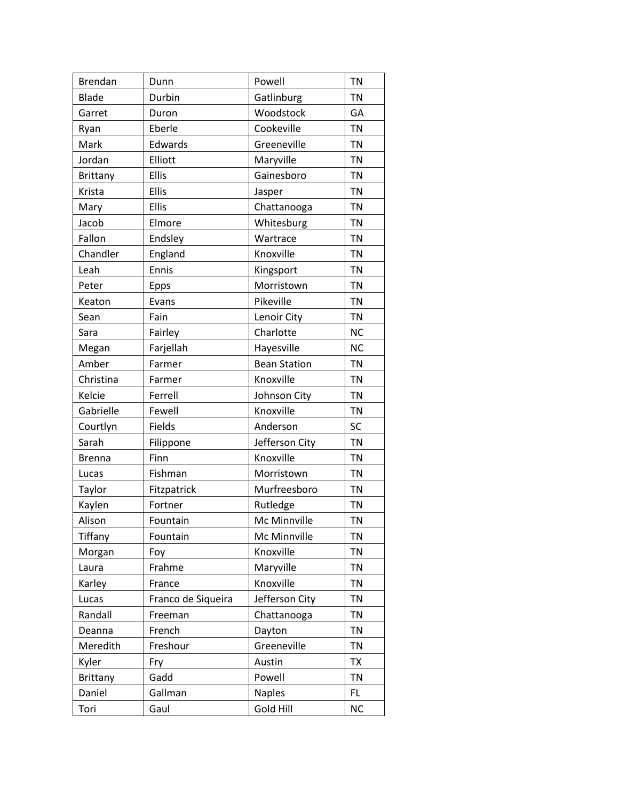| Brendan         | Dunn               | Powell              | <b>TN</b> |
|-----------------|--------------------|---------------------|-----------|
| <b>Blade</b>    | Durbin             | Gatlinburg          | <b>TN</b> |
| Garret          | Duron              | Woodstock           | GA        |
| Ryan            | Eberle             | Cookeville          | <b>TN</b> |
| Mark            | Edwards            | Greeneville         | <b>TN</b> |
| Jordan          | Elliott            | Maryville           | <b>TN</b> |
| <b>Brittany</b> | <b>Ellis</b>       | Gainesboro          | <b>TN</b> |
| Krista          | <b>Ellis</b>       | Jasper              | <b>TN</b> |
| Mary            | <b>Ellis</b>       | Chattanooga         | <b>TN</b> |
| Jacob           | Elmore             | Whitesburg          | <b>TN</b> |
| Fallon          | Endsley            | Wartrace            | <b>TN</b> |
| Chandler        | England            | Knoxville           | <b>TN</b> |
| Leah            | Ennis              | Kingsport           | <b>TN</b> |
| Peter           | <b>Epps</b>        | Morristown          | <b>TN</b> |
| Keaton          | Evans              | Pikeville           | <b>TN</b> |
| Sean            | Fain               | Lenoir City         | <b>TN</b> |
| Sara            | Fairley            | Charlotte           | <b>NC</b> |
| Megan           | Farjellah          | Hayesville          | <b>NC</b> |
| Amber           | Farmer             | <b>Bean Station</b> | <b>TN</b> |
| Christina       | Farmer             | Knoxville           | <b>TN</b> |
| Kelcie          | Ferrell            | Johnson City        | <b>TN</b> |
| Gabrielle       | Fewell             | Knoxville           | <b>TN</b> |
| Courtlyn        | Fields             | Anderson            | SC        |
| Sarah           | Filippone          | Jefferson City      | <b>TN</b> |
| <b>Brenna</b>   | Finn               | Knoxville           | <b>TN</b> |
| Lucas           | Fishman            | Morristown          | <b>TN</b> |
| Taylor          | Fitzpatrick        | Murfreesboro        | <b>TN</b> |
| Kaylen          | Fortner            | Rutledge            | <b>TN</b> |
| Alison          | Fountain           | Mc Minnville        | <b>TN</b> |
| <b>Tiffany</b>  | Fountain           | Mc Minnville        | <b>TN</b> |
| Morgan          | Foy                | Knoxville           | <b>TN</b> |
| Laura           | Frahme             | Maryville           | <b>TN</b> |
| Karley          | France             | Knoxville           | <b>TN</b> |
| Lucas           | Franco de Siqueira | Jefferson City      | <b>TN</b> |
| Randall         | Freeman            | Chattanooga         | <b>TN</b> |
| Deanna          | French             | Dayton              | <b>TN</b> |
| Meredith        | Freshour           | Greeneville         | TN        |
| Kyler           | Fry                | Austin              | <b>TX</b> |
| <b>Brittany</b> | Gadd               | Powell              | <b>TN</b> |
| Daniel          | Gallman            | <b>Naples</b>       | FL.       |
| Tori            | Gaul               | Gold Hill           | <b>NC</b> |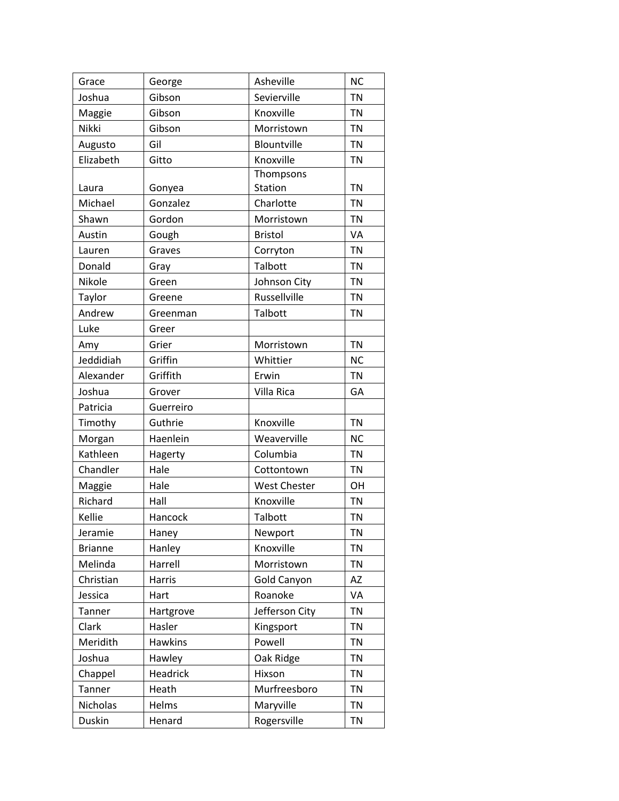|                 |                  | Asheville           | <b>NC</b> |
|-----------------|------------------|---------------------|-----------|
| Grace<br>Joshua | George<br>Gibson | Sevierville         | <b>TN</b> |
| Maggie          | Gibson           | Knoxville           | <b>TN</b> |
| Nikki           | Gibson           | Morristown          | <b>TN</b> |
| Augusto         | Gil              | Blountville         | <b>TN</b> |
| Elizabeth       | Gitto            | Knoxville           | <b>TN</b> |
|                 |                  | Thompsons           |           |
| Laura           | Gonyea           | Station             | <b>TN</b> |
| Michael         | Gonzalez         | Charlotte           | <b>TN</b> |
| Shawn           | Gordon           | Morristown          | <b>TN</b> |
| Austin          | Gough            | <b>Bristol</b>      | <b>VA</b> |
| Lauren          | Graves           | Corryton            | <b>TN</b> |
| Donald          | Gray             | Talbott             | <b>TN</b> |
| Nikole          | Green            | Johnson City        | <b>TN</b> |
| Taylor          | Greene           | Russellville        | <b>TN</b> |
| Andrew          | Greenman         | Talbott             | <b>TN</b> |
| Luke            | Greer            |                     |           |
| Amy             | Grier            | Morristown          | <b>TN</b> |
| Jeddidiah       | Griffin          | Whittier            | <b>NC</b> |
| Alexander       | Griffith         | Erwin               | <b>TN</b> |
| Joshua          | Grover           | Villa Rica          | GA        |
| Patricia        | Guerreiro        |                     |           |
| Timothy         | Guthrie          | Knoxville           | <b>TN</b> |
| Morgan          | Haenlein         | Weaverville         | <b>NC</b> |
| Kathleen        | Hagerty          | Columbia            | <b>TN</b> |
| Chandler        | Hale             | Cottontown          | <b>TN</b> |
| Maggie          | Hale             | <b>West Chester</b> | OH        |
| Richard         | Hall             | Knoxville           | <b>TN</b> |
| Kellie          | Hancock          | Talbott             | <b>TN</b> |
| Jeramie         | Haney            | Newport             | TN        |
| <b>Brianne</b>  | Hanley           | Knoxville           | <b>TN</b> |
| Melinda         | Harrell          | Morristown          | <b>TN</b> |
| Christian       | <b>Harris</b>    | Gold Canyon         | AZ        |
| Jessica         | Hart             | Roanoke             | VA        |
| Tanner          | Hartgrove        | Jefferson City      | <b>TN</b> |
| Clark           | Hasler           | Kingsport           | <b>TN</b> |
| Meridith        | <b>Hawkins</b>   | Powell              | <b>TN</b> |
| Joshua          | Hawley           | Oak Ridge           | <b>TN</b> |
| Chappel         | Headrick         | Hixson              | <b>TN</b> |
| Tanner          | Heath            | Murfreesboro        | <b>TN</b> |
| Nicholas        | Helms            | Maryville           | <b>TN</b> |
| <b>Duskin</b>   | Henard           | Rogersville         | TN        |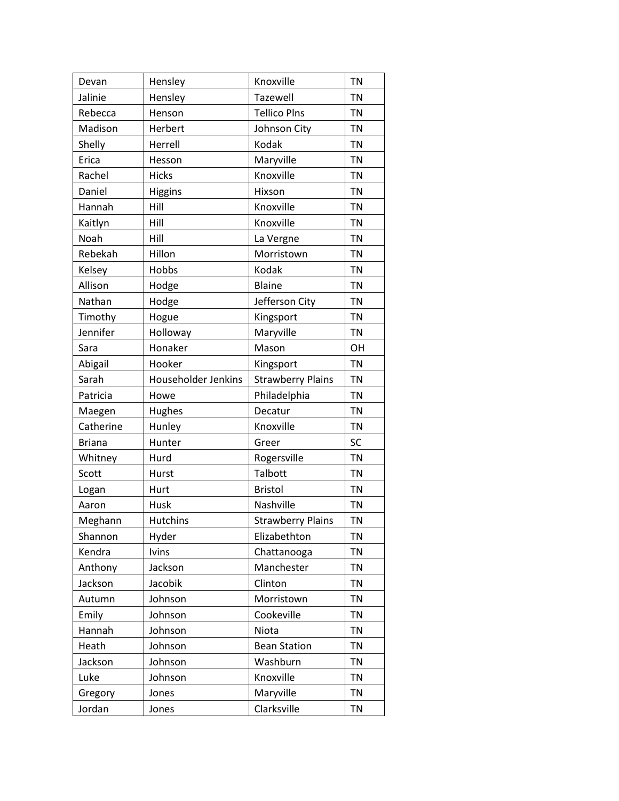| Devan         | Hensley             | Knoxville                | <b>TN</b> |
|---------------|---------------------|--------------------------|-----------|
| Jalinie       | Hensley             | Tazewell                 | <b>TN</b> |
| Rebecca       | Henson              | <b>Tellico Plns</b>      | <b>TN</b> |
| Madison       | Herbert             | Johnson City             | <b>TN</b> |
| Shelly        | Herrell             | Kodak                    | <b>TN</b> |
| Erica         | Hesson              | Maryville                | <b>TN</b> |
| Rachel        | <b>Hicks</b>        | Knoxville                | <b>TN</b> |
| Daniel        | <b>Higgins</b>      | Hixson                   | <b>TN</b> |
| Hannah        | Hill                | Knoxville                | <b>TN</b> |
| Kaitlyn       | Hill                | Knoxville                | <b>TN</b> |
| Noah          | Hill                | La Vergne                | <b>TN</b> |
| Rebekah       | Hillon              | Morristown               | <b>TN</b> |
| Kelsey        | Hobbs               | Kodak                    | <b>TN</b> |
| Allison       | Hodge               | <b>Blaine</b>            | <b>TN</b> |
| Nathan        | Hodge               | Jefferson City           | <b>TN</b> |
| Timothy       | Hogue               | Kingsport                | <b>TN</b> |
| Jennifer      | Holloway            | Maryville                | <b>TN</b> |
| Sara          | Honaker             | Mason                    | OH        |
| Abigail       | Hooker              | Kingsport                | <b>TN</b> |
| Sarah         | Householder Jenkins | <b>Strawberry Plains</b> | <b>TN</b> |
| Patricia      | Howe                | Philadelphia             | <b>TN</b> |
| Maegen        | Hughes              | Decatur                  | <b>TN</b> |
| Catherine     | Hunley              | Knoxville                | <b>TN</b> |
| <b>Briana</b> | Hunter              | Greer                    | SC        |
| Whitney       | Hurd                | Rogersville              | <b>TN</b> |
| Scott         | Hurst               | Talbott                  | <b>TN</b> |
| Logan         | Hurt                | <b>Bristol</b>           | <b>TN</b> |
| Aaron         | Husk                | Nashville                | <b>TN</b> |
| Meghann       | <b>Hutchins</b>     | <b>Strawberry Plains</b> | <b>TN</b> |
| Shannon       | Hyder               | Elizabethton             | <b>TN</b> |
| Kendra        | <b>Ivins</b>        | Chattanooga              | <b>TN</b> |
| Anthony       | Jackson             | Manchester               | <b>TN</b> |
| Jackson       | Jacobik             | Clinton                  | <b>TN</b> |
| Autumn        | Johnson             | Morristown               | <b>TN</b> |
| Emily         | Johnson             | Cookeville               | <b>TN</b> |
| Hannah        | Johnson             | Niota                    | <b>TN</b> |
| Heath         | Johnson             | <b>Bean Station</b>      | <b>TN</b> |
| Jackson       | Johnson             | Washburn                 | <b>TN</b> |
| Luke          | Johnson             | Knoxville                | <b>TN</b> |
| Gregory       | Jones               | Maryville                | <b>TN</b> |
| Jordan        | Jones               | Clarksville              | TN        |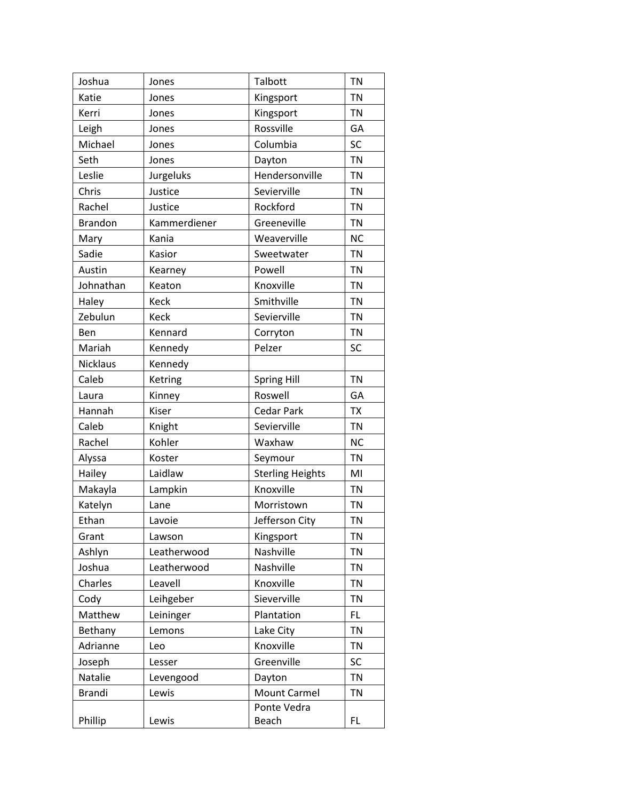| Joshua          | Jones        | Talbott                 | <b>TN</b> |
|-----------------|--------------|-------------------------|-----------|
| Katie           | Jones        | Kingsport               | <b>TN</b> |
| Kerri           | Jones        | Kingsport               | <b>TN</b> |
| Leigh           | Jones        | Rossville               | GA        |
| Michael         | Jones        | Columbia                | SC        |
| Seth            | Jones        | Dayton                  | <b>TN</b> |
| Leslie          | Jurgeluks    | Hendersonville          | <b>TN</b> |
| Chris           | Justice      | Sevierville             | <b>TN</b> |
| Rachel          | Justice      | Rockford                | <b>TN</b> |
| <b>Brandon</b>  | Kammerdiener | Greeneville             | <b>TN</b> |
| Mary            | Kania        | Weaverville             | <b>NC</b> |
| Sadie           | Kasior       | Sweetwater              | <b>TN</b> |
| Austin          | Kearney      | Powell                  | <b>TN</b> |
| Johnathan       | Keaton       | Knoxville               | <b>TN</b> |
| Haley           | <b>Keck</b>  | Smithville              | <b>TN</b> |
| Zebulun         | Keck         | Sevierville             | <b>TN</b> |
| Ben             | Kennard      | Corryton                | <b>TN</b> |
| Mariah          | Kennedy      | Pelzer                  | SC        |
| <b>Nicklaus</b> | Kennedy      |                         |           |
| Caleb           | Ketring      | Spring Hill             | <b>TN</b> |
| Laura           | Kinney       | Roswell                 | GA        |
| Hannah          | Kiser        | <b>Cedar Park</b>       | <b>TX</b> |
| Caleb           | Knight       | Sevierville             | <b>TN</b> |
| Rachel          | Kohler       | Waxhaw                  | <b>NC</b> |
| Alyssa          | Koster       | Seymour                 | <b>TN</b> |
| Hailey          | Laidlaw      | <b>Sterling Heights</b> | MI        |
| Makayla         | Lampkin      | Knoxville               | <b>TN</b> |
| Katelyn         | Lane         | Morristown              | <b>TN</b> |
| Ethan           | Lavoie       | Jefferson City          | <b>TN</b> |
| Grant           | Lawson       | Kingsport               | <b>TN</b> |
| Ashlyn          | Leatherwood  | Nashville               | <b>TN</b> |
| Joshua          | Leatherwood  | Nashville               | <b>TN</b> |
| Charles         | Leavell      | Knoxville               | <b>TN</b> |
| Cody            | Leihgeber    | Sieverville             | <b>TN</b> |
| Matthew         | Leininger    | Plantation              | FL.       |
| Bethany         | Lemons       | Lake City               | <b>TN</b> |
| Adrianne        | Leo          | Knoxville               | <b>TN</b> |
| Joseph          | Lesser       | Greenville              | <b>SC</b> |
| Natalie         | Levengood    | Dayton                  | <b>TN</b> |
| <b>Brandi</b>   | Lewis        | <b>Mount Carmel</b>     | <b>TN</b> |
|                 |              | Ponte Vedra             |           |
| Phillip         | Lewis        | Beach                   | FL.       |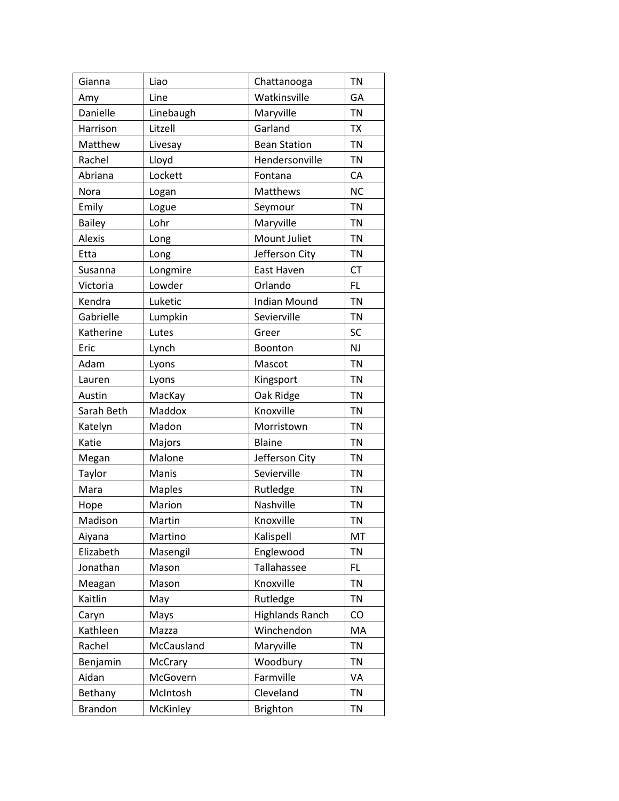| Gianna         | Liao          | Chattanooga            | <b>TN</b> |
|----------------|---------------|------------------------|-----------|
| Amy            | Line          | Watkinsville           | GA        |
| Danielle       | Linebaugh     | Maryville              | <b>TN</b> |
| Harrison       | Litzell       | Garland                | <b>TX</b> |
| Matthew        | Livesay       | <b>Bean Station</b>    | <b>TN</b> |
| Rachel         | Lloyd         | Hendersonville         | <b>TN</b> |
| Abriana        | Lockett       | Fontana                | CA        |
| Nora           | Logan         | <b>Matthews</b>        | <b>NC</b> |
| Emily          | Logue         | Seymour                | <b>TN</b> |
| <b>Bailey</b>  | Lohr          | Maryville              | <b>TN</b> |
| Alexis         | Long          | Mount Juliet           | <b>TN</b> |
| Etta           | Long          | Jefferson City         | <b>TN</b> |
| Susanna        | Longmire      | East Haven             | <b>CT</b> |
| Victoria       | Lowder        | Orlando                | FL        |
| Kendra         | Luketic       | <b>Indian Mound</b>    | <b>TN</b> |
| Gabrielle      | Lumpkin       | Sevierville            | <b>TN</b> |
| Katherine      | Lutes         | Greer                  | SC        |
| Eric           | Lynch         | Boonton                | <b>NJ</b> |
| Adam           | Lyons         | Mascot                 | <b>TN</b> |
| Lauren         | Lyons         | Kingsport              | <b>TN</b> |
| Austin         | MacKay        | Oak Ridge              | <b>TN</b> |
| Sarah Beth     | Maddox        | Knoxville              | <b>TN</b> |
| Katelyn        | Madon         | Morristown             | <b>TN</b> |
| Katie          | Majors        | Blaine                 | <b>TN</b> |
| Megan          | Malone        | Jefferson City         | <b>TN</b> |
| Taylor         | Manis         | Sevierville            | <b>TN</b> |
| Mara           | <b>Maples</b> | Rutledge               | <b>TN</b> |
| Hope           | Marion        | Nashville              | <b>TN</b> |
| Madison        | Martin        | Knoxville              | <b>TN</b> |
| Aiyana         | Martino       | Kalispell              | MT        |
| Elizabeth      | Masengil      | Englewood              | <b>TN</b> |
| Jonathan       | Mason         | Tallahassee            | FL        |
| Meagan         | Mason         | Knoxville              | <b>TN</b> |
| Kaitlin        | May           | Rutledge               | TN        |
| Caryn          | Mays          | <b>Highlands Ranch</b> | CO        |
| Kathleen       | Mazza         | Winchendon             | MA        |
| Rachel         | McCausland    | Maryville              | TN        |
| Benjamin       | McCrary       | Woodbury               | <b>TN</b> |
| Aidan          | McGovern      | Farmville              | VA        |
| Bethany        | McIntosh      | Cleveland              | TN        |
| <b>Brandon</b> | McKinley      | <b>Brighton</b>        | TN        |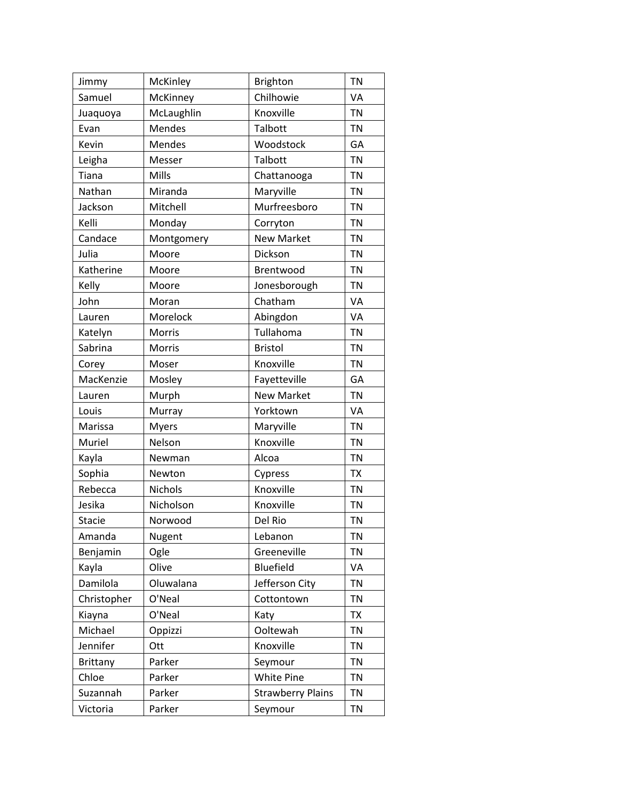| Jimmy           | McKinley   | <b>Brighton</b>          | <b>TN</b> |
|-----------------|------------|--------------------------|-----------|
| Samuel          | McKinney   | Chilhowie                | VA        |
| Juaquoya        | McLaughlin | Knoxville                | <b>TN</b> |
| Evan            | Mendes     | Talbott                  | <b>TN</b> |
| Kevin           | Mendes     | Woodstock                | GA        |
| Leigha          | Messer     | Talbott                  | <b>TN</b> |
| Tiana           | Mills      | Chattanooga              | <b>TN</b> |
| Nathan          | Miranda    | Maryville                | <b>TN</b> |
| Jackson         | Mitchell   | Murfreesboro             | <b>TN</b> |
| Kelli           | Monday     | Corryton                 | <b>TN</b> |
| Candace         | Montgomery | <b>New Market</b>        | <b>TN</b> |
| Julia           | Moore      | Dickson                  | <b>TN</b> |
| Katherine       | Moore      | Brentwood                | <b>TN</b> |
| Kelly           | Moore      | Jonesborough             | <b>TN</b> |
| John            | Moran      | Chatham                  | VA        |
| Lauren          | Morelock   | Abingdon                 | VA        |
| Katelyn         | Morris     | Tullahoma                | <b>TN</b> |
| Sabrina         | Morris     | <b>Bristol</b>           | <b>TN</b> |
| Corey           | Moser      | Knoxville                | <b>TN</b> |
| MacKenzie       | Mosley     | Fayetteville             | GA        |
| Lauren          | Murph      | <b>New Market</b>        | <b>TN</b> |
| Louis           | Murray     | Yorktown                 | VA        |
| Marissa         | Myers      | Maryville                | <b>TN</b> |
| Muriel          | Nelson     | Knoxville                | <b>TN</b> |
| Kayla           | Newman     | Alcoa                    | <b>TN</b> |
| Sophia          | Newton     | Cypress                  | <b>TX</b> |
| Rebecca         | Nichols    | Knoxville                | <b>TN</b> |
| Jesika          | Nicholson  | Knoxville                | <b>TN</b> |
| <b>Stacie</b>   | Norwood    | Del Rio                  | <b>TN</b> |
| Amanda          | Nugent     | Lebanon                  | <b>TN</b> |
| Benjamin        | Ogle       | Greeneville              | <b>TN</b> |
| Kayla           | Olive      | Bluefield                | VA        |
| Damilola        | Oluwalana  | Jefferson City           | <b>TN</b> |
| Christopher     | O'Neal     | Cottontown               | <b>TN</b> |
| Kiayna          | O'Neal     | Katy                     | <b>TX</b> |
| Michael         | Oppizzi    | Ooltewah                 | <b>TN</b> |
| Jennifer        | Ott        | Knoxville                | <b>TN</b> |
| <b>Brittany</b> | Parker     | Seymour                  | <b>TN</b> |
| Chloe           | Parker     | White Pine               | <b>TN</b> |
| Suzannah        | Parker     | <b>Strawberry Plains</b> | <b>TN</b> |
| Victoria        | Parker     | Seymour                  | <b>TN</b> |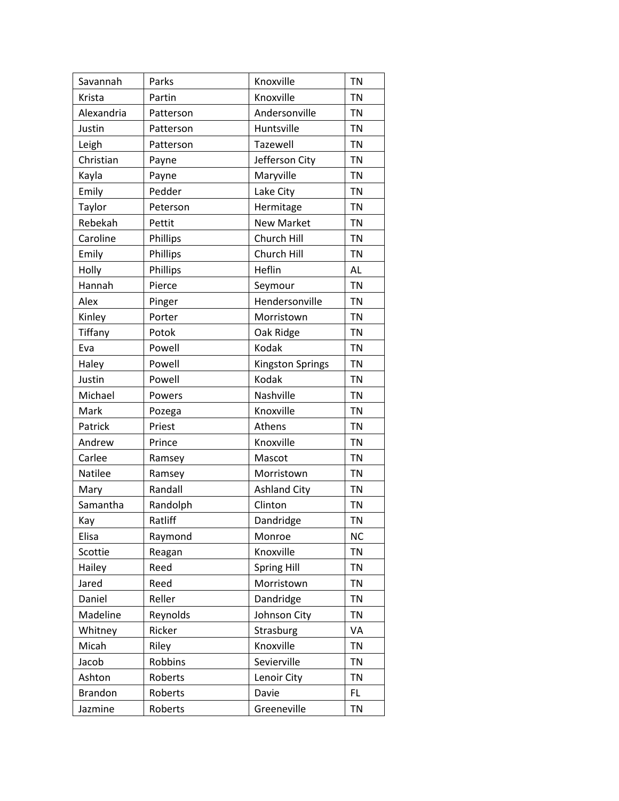| Savannah       | Parks     | Knoxville               | <b>TN</b> |
|----------------|-----------|-------------------------|-----------|
| Krista         | Partin    | Knoxville               | <b>TN</b> |
| Alexandria     | Patterson | Andersonville           | <b>TN</b> |
| Justin         | Patterson | Huntsville              | <b>TN</b> |
| Leigh          | Patterson | Tazewell                | <b>TN</b> |
| Christian      | Payne     | Jefferson City          | <b>TN</b> |
| Kayla          | Payne     | Maryville               | <b>TN</b> |
| Emily          | Pedder    | Lake City               | <b>TN</b> |
| Taylor         | Peterson  | Hermitage               | <b>TN</b> |
| Rebekah        | Pettit    | <b>New Market</b>       | <b>TN</b> |
| Caroline       | Phillips  | Church Hill             | <b>TN</b> |
| Emily          | Phillips  | Church Hill             | <b>TN</b> |
| Holly          | Phillips  | Heflin                  | AL        |
| Hannah         | Pierce    | Seymour                 | <b>TN</b> |
| Alex           | Pinger    | Hendersonville          | <b>TN</b> |
| Kinley         | Porter    | Morristown              | <b>TN</b> |
| Tiffany        | Potok     | Oak Ridge               | <b>TN</b> |
| Eva            | Powell    | Kodak                   | <b>TN</b> |
| Haley          | Powell    | <b>Kingston Springs</b> | <b>TN</b> |
| Justin         | Powell    | Kodak                   | <b>TN</b> |
| Michael        | Powers    | Nashville               | <b>TN</b> |
| Mark           | Pozega    | Knoxville               | <b>TN</b> |
| Patrick        | Priest    | Athens                  | <b>TN</b> |
| Andrew         | Prince    | Knoxville               | <b>TN</b> |
| Carlee         | Ramsey    | Mascot                  | <b>TN</b> |
| Natilee        | Ramsey    | Morristown              | <b>TN</b> |
| Mary           | Randall   | <b>Ashland City</b>     | <b>TN</b> |
| Samantha       | Randolph  | Clinton                 | <b>TN</b> |
| Kay            | Ratliff   | Dandridge               | <b>TN</b> |
| Elisa          | Raymond   | Monroe                  | <b>NC</b> |
| Scottie        | Reagan    | Knoxville               | <b>TN</b> |
| Hailey         | Reed      | Spring Hill             | <b>TN</b> |
| Jared          | Reed      | Morristown              | <b>TN</b> |
| Daniel         | Reller    | Dandridge               | <b>TN</b> |
| Madeline       | Reynolds  | Johnson City            | <b>TN</b> |
| Whitney        | Ricker    | Strasburg               | VA        |
| Micah          | Riley     | Knoxville               | TN        |
| Jacob          | Robbins   | Sevierville             | <b>TN</b> |
| Ashton         | Roberts   | Lenoir City             | <b>TN</b> |
| <b>Brandon</b> | Roberts   | Davie                   | FL.       |
| Jazmine        | Roberts   | Greeneville             | <b>TN</b> |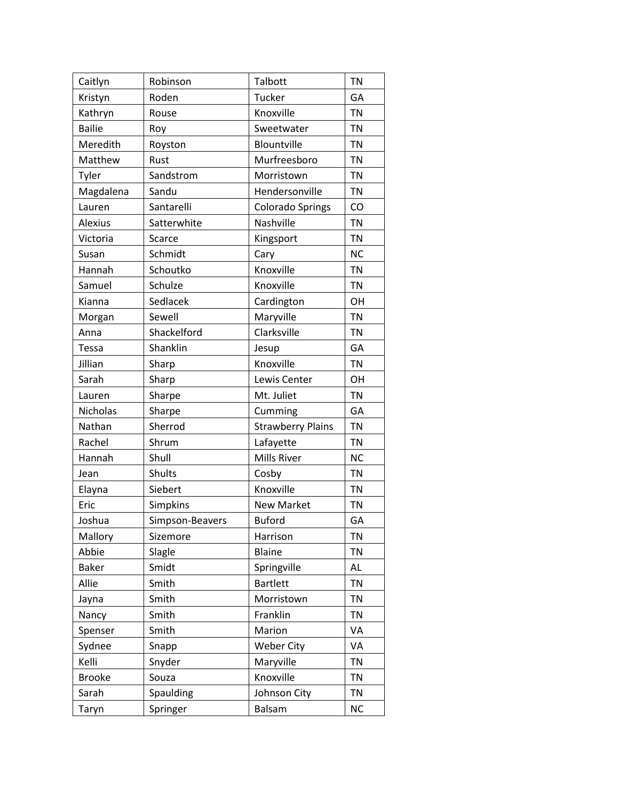| Caitlyn        | Robinson        | Talbott                  | <b>TN</b> |
|----------------|-----------------|--------------------------|-----------|
| Kristyn        | Roden           | <b>Tucker</b>            | GA        |
| Kathryn        | Rouse           | Knoxville                | <b>TN</b> |
| <b>Bailie</b>  | Roy             | Sweetwater               | <b>TN</b> |
| Meredith       | Royston         | Blountville              | <b>TN</b> |
| Matthew        | Rust            | Murfreesboro             | <b>TN</b> |
| Tyler          | Sandstrom       | Morristown               | <b>TN</b> |
| Magdalena      | Sandu           | Hendersonville           | <b>TN</b> |
| Lauren         | Santarelli      | <b>Colorado Springs</b>  | CO        |
| <b>Alexius</b> | Satterwhite     | Nashville                | <b>TN</b> |
| Victoria       | Scarce          | Kingsport                | <b>TN</b> |
| Susan          | Schmidt         | Cary                     | <b>NC</b> |
| Hannah         | Schoutko        | Knoxville                | <b>TN</b> |
| Samuel         | Schulze         | Knoxville                | <b>TN</b> |
| Kianna         | Sedlacek        | Cardington               | OH        |
| Morgan         | Sewell          | Maryville                | <b>TN</b> |
| Anna           | Shackelford     | Clarksville              | <b>TN</b> |
| Tessa          | Shanklin        | Jesup                    | GA        |
| Jillian        | Sharp           | Knoxville                | <b>TN</b> |
| Sarah          | Sharp           | Lewis Center             | OH        |
| Lauren         | Sharpe          | Mt. Juliet               | <b>TN</b> |
| Nicholas       | Sharpe          | Cumming                  | GA        |
| Nathan         | Sherrod         | <b>Strawberry Plains</b> | <b>TN</b> |
| Rachel         | Shrum           | Lafayette                | <b>TN</b> |
| Hannah         | Shull           | Mills River              | <b>NC</b> |
| Jean           | Shults          | Cosby                    | <b>TN</b> |
| Elayna         | Siebert         | Knoxville                | <b>TN</b> |
| Eric           | Simpkins        | New Market               | <b>TN</b> |
| Joshua         | Simpson-Beavers | <b>Buford</b>            | GA        |
| Mallory        | Sizemore        | Harrison                 | <b>TN</b> |
| Abbie          | Slagle          | <b>Blaine</b>            | <b>TN</b> |
| <b>Baker</b>   | Smidt           | Springville              | AL        |
| Allie          | Smith           | <b>Bartlett</b>          | <b>TN</b> |
| Jayna          | Smith           | Morristown               | <b>TN</b> |
| Nancy          | Smith           | Franklin                 | <b>TN</b> |
| Spenser        | Smith           | Marion                   | VA        |
| Sydnee         | Snapp           | <b>Weber City</b>        | VA        |
| Kelli          | Snyder          | Maryville                | <b>TN</b> |
| <b>Brooke</b>  | Souza           | Knoxville                | <b>TN</b> |
| Sarah          | Spaulding       | Johnson City             | <b>TN</b> |
| Taryn          | Springer        | Balsam                   | <b>NC</b> |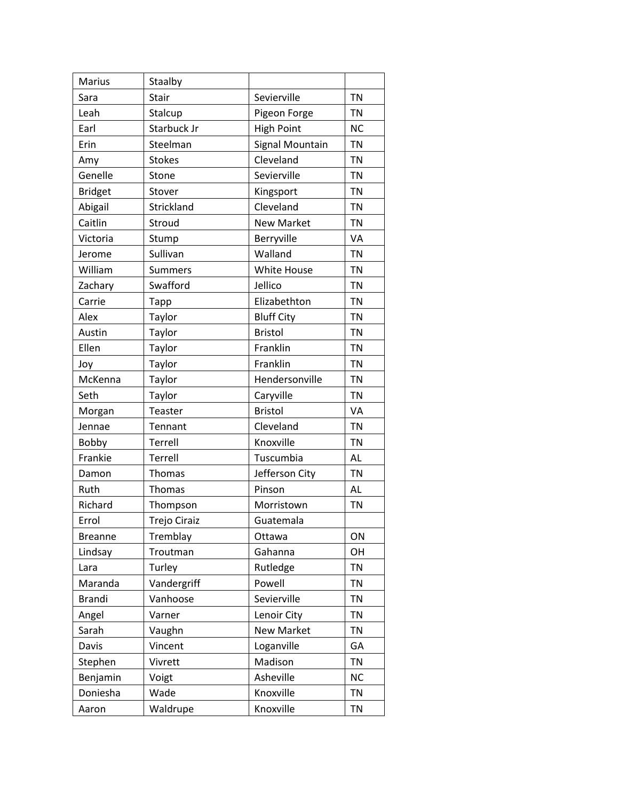| Marius         | Staalby             |                   |           |
|----------------|---------------------|-------------------|-----------|
| Sara           | Stair               | Sevierville       | <b>TN</b> |
| Leah           | Stalcup             | Pigeon Forge      | TN        |
| Earl           | Starbuck Jr         | <b>High Point</b> | <b>NC</b> |
| Erin           | Steelman            | Signal Mountain   | <b>TN</b> |
| Amy            | <b>Stokes</b>       | Cleveland         | <b>TN</b> |
| Genelle        | Stone               | Sevierville       | <b>TN</b> |
| <b>Bridget</b> | Stover              | Kingsport         | <b>TN</b> |
| Abigail        | Strickland          | Cleveland         | <b>TN</b> |
| Caitlin        | Stroud              | <b>New Market</b> | <b>TN</b> |
| Victoria       | Stump               | Berryville        | VA        |
| Jerome         | Sullivan            | Walland           | <b>TN</b> |
| William        | <b>Summers</b>      | White House       | <b>TN</b> |
| Zachary        | Swafford            | Jellico           | <b>TN</b> |
| Carrie         | Tapp                | Elizabethton      | <b>TN</b> |
| Alex           | Taylor              | <b>Bluff City</b> | <b>TN</b> |
| Austin         | Taylor              | <b>Bristol</b>    | <b>TN</b> |
| Ellen          | Taylor              | Franklin          | <b>TN</b> |
| Joy            | Taylor              | Franklin          | <b>TN</b> |
| McKenna        | Taylor              | Hendersonville    | <b>TN</b> |
| Seth           | Taylor              | Caryville         | <b>TN</b> |
| Morgan         | Teaster             | <b>Bristol</b>    | VA        |
| Jennae         | Tennant             | Cleveland         | <b>TN</b> |
| Bobby          | Terrell             | Knoxville         | <b>TN</b> |
| Frankie        | Terrell             | Tuscumbia         | <b>AL</b> |
| Damon          | Thomas              | Jefferson City    | <b>TN</b> |
| Ruth           | <b>Thomas</b>       | Pinson            | <b>AL</b> |
| Richard        | Thompson            | Morristown        | <b>TN</b> |
| Errol          | <b>Trejo Ciraiz</b> | Guatemala         |           |
| <b>Breanne</b> | Tremblay            | Ottawa            | ON        |
| Lindsay        | Troutman            | Gahanna           | OH        |
| Lara           | Turley              | Rutledge          | <b>TN</b> |
| Maranda        | Vandergriff         | Powell            | <b>TN</b> |
| <b>Brandi</b>  | Vanhoose            | Sevierville       | <b>TN</b> |
| Angel          | Varner              | Lenoir City       | <b>TN</b> |
| Sarah          | Vaughn              | <b>New Market</b> | <b>TN</b> |
| Davis          | Vincent             | Loganville        | GA        |
| Stephen        | Vivrett             | Madison           | <b>TN</b> |
| Benjamin       | Voigt               | Asheville         | <b>NC</b> |
| Doniesha       | Wade                | Knoxville         | <b>TN</b> |
| Aaron          | Waldrupe            | Knoxville         | <b>TN</b> |